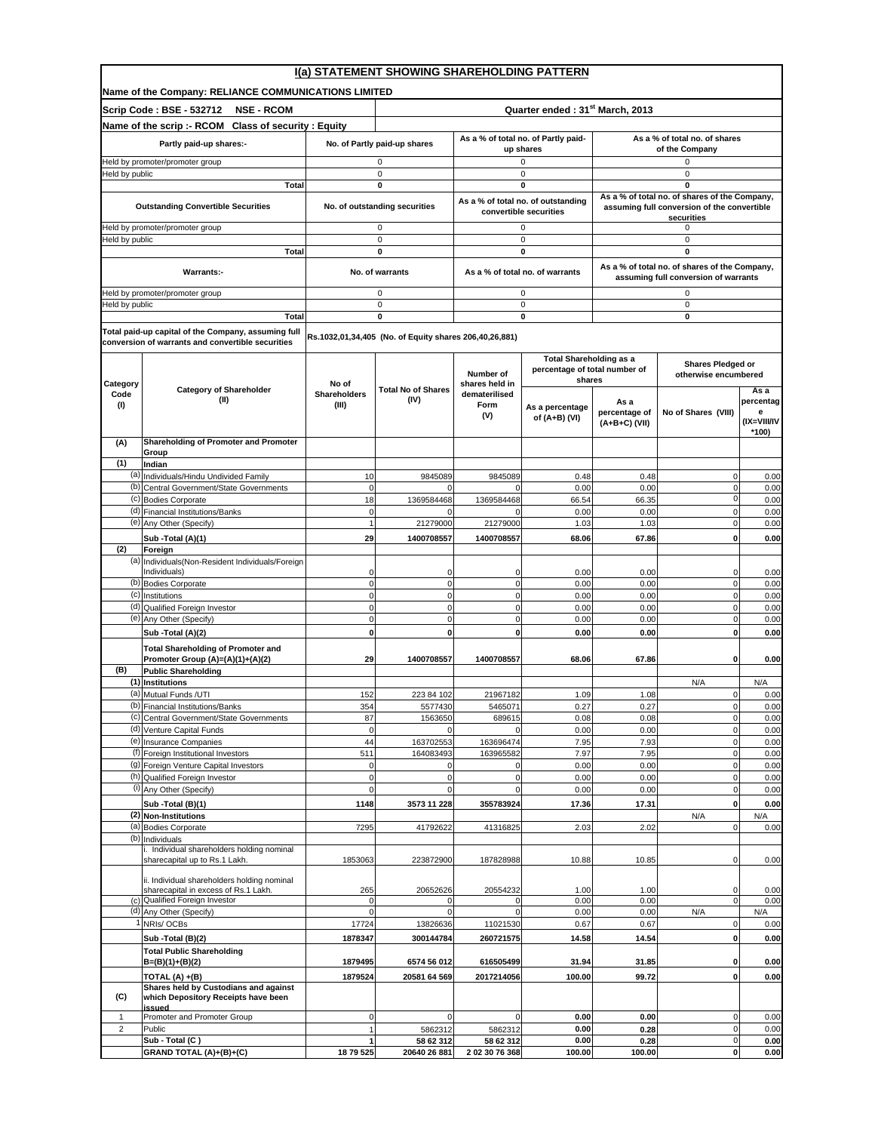|                                 | I(a) STATEMENT SHOWING SHAREHOLDING PATTERN                                            |                                  |                                                        |                                                  |                                                                           |                                                 |                                                                                              |                                        |  |  |  |  |
|---------------------------------|----------------------------------------------------------------------------------------|----------------------------------|--------------------------------------------------------|--------------------------------------------------|---------------------------------------------------------------------------|-------------------------------------------------|----------------------------------------------------------------------------------------------|----------------------------------------|--|--|--|--|
|                                 | Name of the Company: RELIANCE COMMUNICATIONS LIMITED                                   |                                  |                                                        |                                                  |                                                                           |                                                 |                                                                                              |                                        |  |  |  |  |
|                                 | <b>Scrip Code: BSE - 532712</b><br><b>NSE - RCOM</b>                                   |                                  | Quarter ended: 31 <sup>st</sup> March, 2013            |                                                  |                                                                           |                                                 |                                                                                              |                                        |  |  |  |  |
|                                 | Name of the scrip :- RCOM Class of security : Equity                                   |                                  |                                                        |                                                  |                                                                           |                                                 |                                                                                              |                                        |  |  |  |  |
|                                 | Partly paid-up shares:-                                                                | No. of Partly paid-up shares     |                                                        | As a % of total no. of Partly paid-<br>up shares |                                                                           | As a % of total no. of shares<br>of the Company |                                                                                              |                                        |  |  |  |  |
| Held by promoter/promoter group |                                                                                        |                                  | 0                                                      |                                                  | 0                                                                         |                                                 | 0                                                                                            |                                        |  |  |  |  |
| Held by public<br><b>Total</b>  |                                                                                        |                                  | $\mathbf 0$<br>0                                       |                                                  | $\mathsf 0$<br>0                                                          |                                                 | $\mathbf 0$<br>0                                                                             |                                        |  |  |  |  |
|                                 | <b>Outstanding Convertible Securities</b>                                              |                                  | No. of outstanding securities                          |                                                  | As a % of total no. of outstanding                                        |                                                 | As a % of total no. of shares of the Company,<br>assuming full conversion of the convertible |                                        |  |  |  |  |
|                                 | leld by promoter/promoter group                                                        |                                  | 0                                                      |                                                  | convertible securities<br>0                                               |                                                 | securities<br>0                                                                              |                                        |  |  |  |  |
| Held by public                  |                                                                                        |                                  | 0                                                      |                                                  | 0                                                                         |                                                 | 0                                                                                            |                                        |  |  |  |  |
|                                 | <b>Total</b>                                                                           |                                  | $\mathbf 0$                                            |                                                  | 0                                                                         |                                                 | $\mathbf 0$                                                                                  |                                        |  |  |  |  |
|                                 | Warrants:-                                                                             |                                  | No. of warrants                                        |                                                  | As a % of total no. of warrants                                           |                                                 | As a % of total no. of shares of the Company,<br>assuming full conversion of warrants        |                                        |  |  |  |  |
|                                 | Held by promoter/promoter group                                                        |                                  | 0                                                      |                                                  | 0                                                                         |                                                 | 0                                                                                            |                                        |  |  |  |  |
| Held by public                  | <b>Total</b>                                                                           |                                  | $\mathbf 0$<br>$\mathbf 0$                             |                                                  | $\mathbf 0$<br>0                                                          |                                                 | $\mathbf 0$<br>0                                                                             |                                        |  |  |  |  |
|                                 | Total paid-up capital of the Company, assuming full                                    |                                  |                                                        |                                                  |                                                                           |                                                 |                                                                                              |                                        |  |  |  |  |
|                                 | conversion of warrants and convertible securities                                      |                                  | Rs.1032,01,34,405 (No. of Equity shares 206,40,26,881) |                                                  |                                                                           |                                                 |                                                                                              |                                        |  |  |  |  |
| Category                        |                                                                                        | No of                            |                                                        | Number of<br>shares held in                      | <b>Total Shareholding as a</b><br>percentage of total number of<br>shares |                                                 | <b>Shares Pledged or</b><br>otherwise encumbered                                             |                                        |  |  |  |  |
| Code                            | <b>Category of Shareholder</b><br>(II)                                                 | <b>Shareholders</b>              | <b>Total No of Shares</b><br>(IV)                      | dematerilised                                    |                                                                           |                                                 |                                                                                              | Asa                                    |  |  |  |  |
| (I)                             |                                                                                        | (III)                            |                                                        | Form<br>(V)                                      | As a percentage<br>of (A+B) (VI)                                          | As a<br>percentage of<br>(A+B+C) (VII)          | No of Shares (VIII)                                                                          | percentag<br>е<br>(IX=VIII/IV<br>*100) |  |  |  |  |
| (A)                             | Shareholding of Promoter and Promoter<br>Group                                         |                                  |                                                        |                                                  |                                                                           |                                                 |                                                                                              |                                        |  |  |  |  |
| (1)                             | Indian                                                                                 |                                  |                                                        |                                                  |                                                                           |                                                 |                                                                                              |                                        |  |  |  |  |
| (a)                             | Individuals/Hindu Undivided Family<br>(b) Central Government/State Governments         | 10<br>0                          | 9845089                                                | 9845089                                          | 0.48<br>0.00                                                              | 0.48<br>0.00                                    | 0<br>$\mathbf 0$                                                                             | 0.00<br>0.00                           |  |  |  |  |
|                                 | (c) Bodies Corporate                                                                   | 18                               | 1369584468                                             | 1369584468                                       | 66.54                                                                     | 66.35                                           | 0                                                                                            | 0.00                                   |  |  |  |  |
|                                 | (d) Financial Institutions/Banks                                                       | 0                                | $\Omega$                                               | <sup>0</sup>                                     | 0.00                                                                      | 0.00                                            | $\mathbf 0$                                                                                  | 0.00                                   |  |  |  |  |
|                                 | (e) Any Other (Specify)                                                                |                                  | 21279000                                               | 21279000                                         | 1.03                                                                      | 1.03                                            | $\mathbf 0$                                                                                  | 0.00                                   |  |  |  |  |
| (2)                             | Sub -Total (A)(1)                                                                      | 29                               | 1400708557                                             | 1400708557                                       | 68.06                                                                     | 67.86                                           | $\mathbf 0$                                                                                  | 0.00                                   |  |  |  |  |
|                                 | Foreign<br>(a) Individuals (Non-Resident Individuals/Foreign                           |                                  |                                                        |                                                  |                                                                           |                                                 |                                                                                              |                                        |  |  |  |  |
|                                 | Individuals)                                                                           | C                                | 0                                                      | $\Omega$                                         | 0.00                                                                      | 0.00                                            | 0                                                                                            | 0.00                                   |  |  |  |  |
|                                 | (b) Bodies Corporate                                                                   | $\mathbf 0$                      | 0                                                      | $\Omega$                                         | 0.00                                                                      | 0.00                                            | $\mathbf 0$                                                                                  | 0.00                                   |  |  |  |  |
|                                 | (c) Institutions<br>(d) Qualified Foreign Investor                                     | $\overline{0}$<br>$\overline{0}$ | $\mathbf 0$<br>$\pmb{0}$                               | $\mathbf 0$<br>$\mathbf 0$                       | 0.00<br>0.00                                                              | 0.00<br>0.00                                    | $\mathbf 0$<br>$\pmb{0}$                                                                     | 0.00<br>0.00                           |  |  |  |  |
|                                 | (e) Any Other (Specify)                                                                | $\mathbf 0$                      | $\mathbf 0$                                            | $\mathbf{0}$                                     | 0.00                                                                      | 0.00                                            | $\mathbf 0$                                                                                  | 0.00                                   |  |  |  |  |
|                                 | Sub -Total (A)(2)                                                                      | $\mathbf 0$                      | 0                                                      | $\mathbf 0$                                      | 0.00                                                                      | 0.00                                            | 0                                                                                            | 0.00                                   |  |  |  |  |
|                                 | <b>Total Shareholding of Promoter and</b><br>Promoter Group (A)=(A)(1)+(A)(2)          | 29                               | 1400708557                                             | 1400708557                                       | 68.06                                                                     | 67.86                                           | 0                                                                                            | 0.00                                   |  |  |  |  |
| (B)                             | <b>Public Shareholding</b><br>(1) Institutions                                         |                                  |                                                        |                                                  |                                                                           |                                                 | N/A                                                                                          | N/A                                    |  |  |  |  |
|                                 | (a) Mutual Funds /UTI                                                                  | 152                              | 223 84 102                                             | 21967182                                         | 1.09                                                                      | 1.08                                            | 0                                                                                            | 0.00                                   |  |  |  |  |
|                                 | (b) Financial Institutions/Banks                                                       | 354                              | 5577430                                                | 5465071                                          | 0.27                                                                      | 0.27                                            | $\Omega$                                                                                     | 0.00                                   |  |  |  |  |
|                                 | (c) Central Government/State Governments                                               | 87                               | 1563650                                                | 689615                                           | 0.08                                                                      | 0.08                                            | $\pmb{0}$                                                                                    | 0.00                                   |  |  |  |  |
|                                 | (d) Venture Capital Funds<br>(e) Insurance Companies                                   | $\mathbf 0$<br>44                | $\Omega$<br>163702553                                  | 163696474                                        | 0.00<br>7.95                                                              | 0.00<br>7.93                                    | $\mathbf 0$<br>$\mathbf 0$                                                                   | 0.00<br>0.00                           |  |  |  |  |
|                                 | (f) Foreign Institutional Investors                                                    | 511                              | 164083493                                              | 163965582                                        | 7.97                                                                      | 7.95                                            | $\mathbf 0$                                                                                  | 0.00                                   |  |  |  |  |
|                                 | (g) Foreign Venture Capital Investors                                                  | $\mathbf 0$                      | $\mathbf 0$                                            | 0                                                | 0.00                                                                      | 0.00                                            | $\pmb{0}$                                                                                    | 0.00                                   |  |  |  |  |
|                                 | (h) Qualified Foreign Investor<br>(i) Any Other (Specify)                              | $\mathbf 0$<br>$\epsilon$        | $\mathbf 0$<br>$\mathbf 0$                             | $\mathbf 0$<br>0                                 | 0.00<br>0.00                                                              | 0.00<br>0.00                                    | $\pmb{0}$<br>$\bf{0}$                                                                        | 0.00<br>0.00                           |  |  |  |  |
|                                 | Sub -Total (B)(1)                                                                      | 1148                             | 3573 11 228                                            | 355783924                                        | 17.36                                                                     | 17.31                                           | $\mathbf 0$                                                                                  | 0.00                                   |  |  |  |  |
|                                 | (2) Non-Institutions                                                                   |                                  |                                                        |                                                  |                                                                           |                                                 | N/A                                                                                          | N/A                                    |  |  |  |  |
|                                 | (a) Bodies Corporate                                                                   | 7295                             | 41792622                                               | 41316825                                         | 2.03                                                                      | 2.02                                            | 0                                                                                            | 0.00                                   |  |  |  |  |
|                                 | (b) Individuals<br>i. Individual shareholders holding nominal                          |                                  |                                                        |                                                  |                                                                           |                                                 |                                                                                              |                                        |  |  |  |  |
|                                 | sharecapital up to Rs.1 Lakh.                                                          | 1853063                          | 223872900                                              | 187828988                                        | 10.88                                                                     | 10.85                                           | $\mathbf 0$                                                                                  | 0.00                                   |  |  |  |  |
|                                 | ii. Individual shareholders holding nominal<br>sharecapital in excess of Rs.1 Lakh.    |                                  |                                                        | 20554232                                         |                                                                           |                                                 |                                                                                              |                                        |  |  |  |  |
|                                 | (c) Qualified Foreign Investor                                                         | 265                              | 20652626                                               |                                                  | 1.00<br>0.00                                                              | 1.00<br>0.00                                    | 0<br>0                                                                                       | 0.00<br>0.00                           |  |  |  |  |
| (d)                             | Any Other (Specify)                                                                    |                                  |                                                        |                                                  | 0.00                                                                      | 0.00                                            | N/A                                                                                          | N/A                                    |  |  |  |  |
|                                 | NRIs/OCBs                                                                              | 17724                            | 13826636                                               | 11021530                                         | 0.67                                                                      | 0.67                                            | 0                                                                                            | 0.00                                   |  |  |  |  |
|                                 | Sub -Total (B)(2)                                                                      | 1878347                          | 300144784                                              | 260721575                                        | 14.58                                                                     | 14.54                                           | $\pmb{0}$                                                                                    | 0.00                                   |  |  |  |  |
|                                 | <b>Total Public Shareholding</b><br>$B=(B)(1)+(B)(2)$                                  | 1879495                          | 6574 56 012                                            | 616505499                                        | 31.94                                                                     | 31.85                                           | $\mathbf 0$                                                                                  | 0.00                                   |  |  |  |  |
|                                 | TOTAL (A) +(B)                                                                         | 1879524                          | 20581 64 569                                           | 2017214056                                       | 100.00                                                                    | 99.72                                           | 0                                                                                            | 0.00                                   |  |  |  |  |
| (C)                             | Shares held by Custodians and against<br>which Depository Receipts have been<br>issued |                                  |                                                        |                                                  |                                                                           |                                                 |                                                                                              |                                        |  |  |  |  |
| 1                               | Promoter and Promoter Group                                                            | $\mathbf 0$                      | $\Omega$                                               | 0                                                | 0.00                                                                      | 0.00                                            | 0                                                                                            | 0.00                                   |  |  |  |  |
| $\overline{c}$                  | Public                                                                                 |                                  | 5862312                                                | 5862312                                          | 0.00                                                                      | 0.28                                            | $\mathbf 0$                                                                                  | 0.00                                   |  |  |  |  |
|                                 | Sub - Total (C)<br>GRAND TOTAL (A)+(B)+(C)                                             | 18 79 525                        | 58 62 312<br>20640 26 881                              | 58 62 312<br>2 02 30 76 368                      | 0.00<br>100.00                                                            | 0.28<br>100.00                                  | $\mathbf 0$<br>$\mathbf{0}$                                                                  | 0.00<br>0.00                           |  |  |  |  |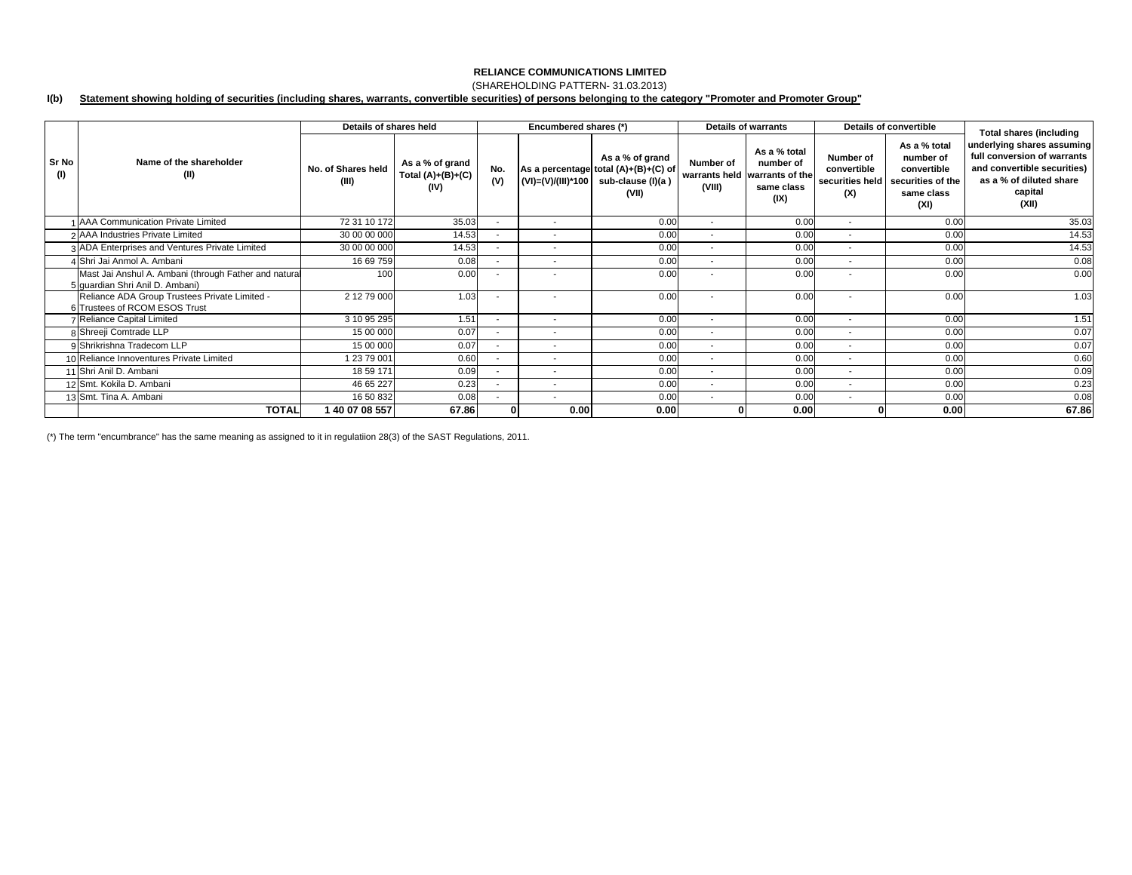## (SHAREHOLDING PATTERN- 31.03.2013)

#### **I(b) Statement showing holding of securities (including shares, warrants, convertible securities) of persons belonging to the category "Promoter and Promoter Group"**

|              |                                                                                         | Details of shares held      |                                                | Encumbered shares (*)    |                          |                                                                                       |                          | <b>Details of warrants</b>                                                       | <b>Details of convertible</b>                      |                                                                                     | <b>Total shares (including</b>                                                                                                          |
|--------------|-----------------------------------------------------------------------------------------|-----------------------------|------------------------------------------------|--------------------------|--------------------------|---------------------------------------------------------------------------------------|--------------------------|----------------------------------------------------------------------------------|----------------------------------------------------|-------------------------------------------------------------------------------------|-----------------------------------------------------------------------------------------------------------------------------------------|
| Sr No<br>(1) | Name of the shareholder<br>(II)                                                         | No. of Shares held<br>(III) | As a % of grand<br>Total $(A)+(B)+(C)$<br>(IV) | No.<br>(V)               | (VI)=(V)/(III)*100       | As a % of grand<br>As a percentage total (A)+(B)+(C) of<br>sub-clause (I)(a)<br>(VII) | Number of<br>(VIII)      | As a % total<br>number of<br>warrants held warrants of the<br>same class<br>(IX) | Number of<br>convertible<br>securities held<br>(X) | As a % total<br>number of<br>convertible<br>securities of the<br>same class<br>(XI) | underlying shares assuming<br>full conversion of warrants<br>and convertible securities)<br>as a % of diluted share<br>capital<br>(XII) |
|              | 1 AAA Communication Private Limited                                                     | 72 31 10 172                | 35.03                                          | $\overline{\phantom{a}}$ | $\overline{\phantom{a}}$ | 0.00                                                                                  | $\sim$                   | 0.00                                                                             | $\overline{\phantom{a}}$                           | 0.00                                                                                | 35.03                                                                                                                                   |
|              | 2 AAA Industries Private Limited                                                        | 30 00 00 000                | 14.53                                          | $\overline{\phantom{a}}$ | $\overline{\phantom{a}}$ | 0.00                                                                                  | $\sim$                   | 0.00                                                                             | $\overline{\phantom{a}}$                           | 0.00                                                                                | 14.53                                                                                                                                   |
|              | 3 ADA Enterprises and Ventures Private Limited                                          | 30 00 00 000                | 14.53                                          | $\overline{\phantom{a}}$ | $\overline{\phantom{a}}$ | 0.00                                                                                  |                          | 0.00                                                                             | $\overline{\phantom{a}}$                           | 0.00                                                                                | 14.53                                                                                                                                   |
|              | 4 Shri Jai Anmol A. Ambani                                                              | 16 69 759                   | 0.08                                           | $\overline{\phantom{a}}$ | $\overline{\phantom{a}}$ | 0.00                                                                                  | $\sim$                   | 0.00                                                                             | $\overline{\phantom{a}}$                           | 0.00                                                                                | 0.08                                                                                                                                    |
|              | Mast Jai Anshul A. Ambani (through Father and natura<br>5 quardian Shri Anil D. Ambani) | 100                         | 0.00                                           | $\overline{\phantom{a}}$ | $\overline{\phantom{a}}$ | 0.00                                                                                  |                          | 0.00                                                                             | $\overline{\phantom{a}}$                           | 0.00                                                                                | 0.00                                                                                                                                    |
|              | Reliance ADA Group Trustees Private Limited -<br>6 Trustees of RCOM ESOS Trust          | 2 12 79 000                 | 1.03                                           |                          | $\overline{\phantom{a}}$ | 0.00                                                                                  |                          | 0.00                                                                             | $\overline{\phantom{a}}$                           | 0.00                                                                                | 1.03                                                                                                                                    |
|              | 7 Reliance Capital Limited                                                              | 3 10 95 295                 | 1.51                                           | $\overline{\phantom{a}}$ | $\sim$                   | 0.00                                                                                  | $\sim$                   | 0.00                                                                             | $\overline{\phantom{a}}$                           | 0.00                                                                                | 1.51                                                                                                                                    |
|              | 8 Shreeji Comtrade LLP                                                                  | 15 00 000                   | 0.07                                           | $\overline{\phantom{a}}$ | $\overline{\phantom{a}}$ | 0.00                                                                                  |                          | 0.00                                                                             | $\overline{\phantom{a}}$                           | 0.00                                                                                | 0.07                                                                                                                                    |
|              | 9 Shrikrishna Tradecom LLP                                                              | 15 00 000                   | 0.07                                           | $\overline{\phantom{a}}$ | $\sim$                   | 0.00                                                                                  |                          | 0.00                                                                             | $\overline{\phantom{a}}$                           | 0.00                                                                                | 0.07                                                                                                                                    |
|              | 10 Reliance Innoventures Private Limited                                                | 1 23 79 001                 | 0.60                                           | $\overline{\phantom{a}}$ | $\overline{\phantom{a}}$ | 0.00                                                                                  | $\sim$                   | 0.00                                                                             | $\overline{\phantom{a}}$                           | 0.00                                                                                | 0.60                                                                                                                                    |
|              | 11 Shri Anil D. Ambani                                                                  | 18 59 171                   | 0.09                                           | $\overline{\phantom{a}}$ | $\overline{\phantom{a}}$ | 0.00                                                                                  | $\overline{\phantom{a}}$ | 0.00                                                                             | $\blacksquare$                                     | 0.00                                                                                | 0.09                                                                                                                                    |
|              | 12 Smt. Kokila D. Ambani                                                                | 46 65 227                   | 0.23                                           | $\sim$                   | $\sim$                   | 0.00                                                                                  | $\sim$                   | 0.00                                                                             | $\overline{\phantom{a}}$                           | 0.00                                                                                | 0.23                                                                                                                                    |
|              | 13 Smt. Tina A. Ambani                                                                  | 16 50 832                   | 0.08                                           |                          | $\overline{\phantom{a}}$ | 0.00                                                                                  |                          | 0.00                                                                             | $\overline{\phantom{a}}$                           | 0.00                                                                                | 0.08                                                                                                                                    |
|              | <b>TOTAL</b>                                                                            | 140 07 08 557               | 67.86                                          | $\mathbf{0}$             | 0.00                     | 0.00                                                                                  |                          | 0.00                                                                             |                                                    | 0.00                                                                                | 67.86                                                                                                                                   |

(\*) The term "encumbrance" has the same meaning as assigned to it in regulatiion 28(3) of the SAST Regulations, 2011.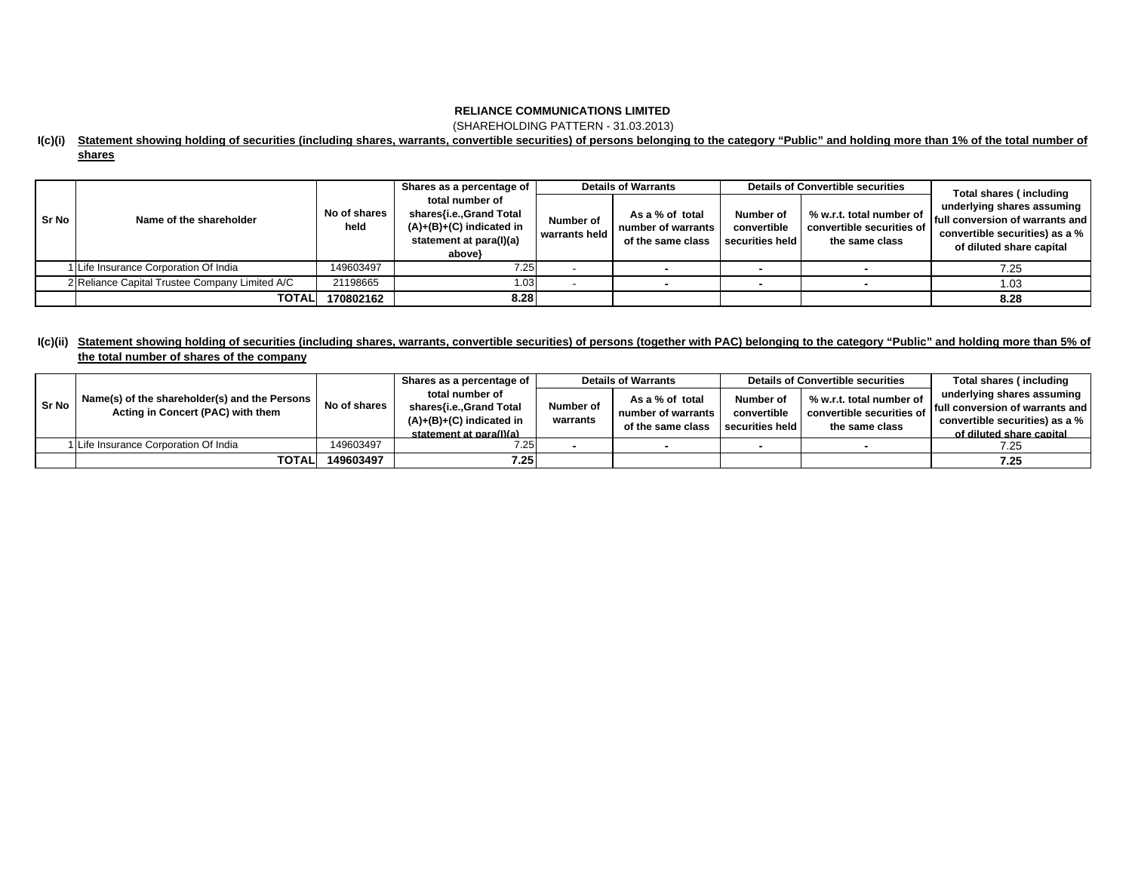(SHAREHOLDING PATTERN - 31.03.2013)

## **I(c)(i) Statement showing holding of securities (including shares, warrants, convertible securities) of persons belonging to the category "Public" and holding more than 1% of the total number of shares**

|              |                                                |                      | Shares as a percentage of                                                                                      | <b>Details of Warrants</b> |                                                            | <b>Details of Convertible securities</b>    |                                                                         | Total shares (including                                                                                                     |  |
|--------------|------------------------------------------------|----------------------|----------------------------------------------------------------------------------------------------------------|----------------------------|------------------------------------------------------------|---------------------------------------------|-------------------------------------------------------------------------|-----------------------------------------------------------------------------------------------------------------------------|--|
| <b>Sr No</b> | Name of the shareholder                        | No of shares<br>held | total number of<br>shares{i.e., Grand Total<br>$(A)+(B)+(C)$ indicated in<br>statement at para(I)(a)<br>above} | Number of<br>warrants held | As a % of total<br>number of warrants<br>of the same class | Number of<br>convertible<br>securities held | % w.r.t. total number of<br>convertible securities of<br>the same class | underlying shares assuming<br>full conversion of warrants and<br>convertible securities) as a %<br>of diluted share capital |  |
|              | 1 Life Insurance Corporation Of India          | 149603497            | 7.25                                                                                                           |                            |                                                            |                                             |                                                                         | 7.25                                                                                                                        |  |
|              | 2 Reliance Capital Trustee Company Limited A/C | 21198665             | 1.03                                                                                                           |                            |                                                            |                                             |                                                                         | 1.03                                                                                                                        |  |
|              | <b>TOTAL</b>                                   | 170802162            | 8.28                                                                                                           |                            |                                                            |                                             |                                                                         | 8.28                                                                                                                        |  |

## **I(c)(ii) Statement showing holding of securities (including shares, warrants, convertible securities) of persons (together with PAC) belonging to the category "Public" and holding more than 5% of the total number of shares of the company**

|       | Name(s) of the shareholder(s) and the Persons  <br>Acting in Concert (PAC) with them | No of shares | Shares as a percentage of                                                | <b>Details of Warrants</b> |                                                            | <b>Details of Convertible securities</b>    |                                                                         | Total shares (including         |
|-------|--------------------------------------------------------------------------------------|--------------|--------------------------------------------------------------------------|----------------------------|------------------------------------------------------------|---------------------------------------------|-------------------------------------------------------------------------|---------------------------------|
| Sr No |                                                                                      |              | total number of<br>shares{i.e.,Grand Total<br>$(A)+(B)+(C)$ indicated in | Number of<br>warrants      | As a % of total<br>number of warrants<br>of the same class | Number of<br>convertible<br>securities held | % w.r.t. total number of<br>convertible securities of<br>the same class | underlying shares assuming      |
|       |                                                                                      |              |                                                                          |                            |                                                            |                                             |                                                                         | full conversion of warrants and |
|       |                                                                                      |              |                                                                          |                            |                                                            |                                             |                                                                         | convertible securities) as a %  |
|       |                                                                                      |              | statement at para(I)(a)                                                  |                            |                                                            |                                             |                                                                         | of diluted share capital        |
|       | 1 Life Insurance Corporation Of India                                                | 149603497    | 7.25                                                                     |                            |                                                            |                                             |                                                                         | 7.25                            |
|       | <b>TOTALI</b>                                                                        | 149603497    | 7.25                                                                     |                            |                                                            |                                             |                                                                         | 7.25                            |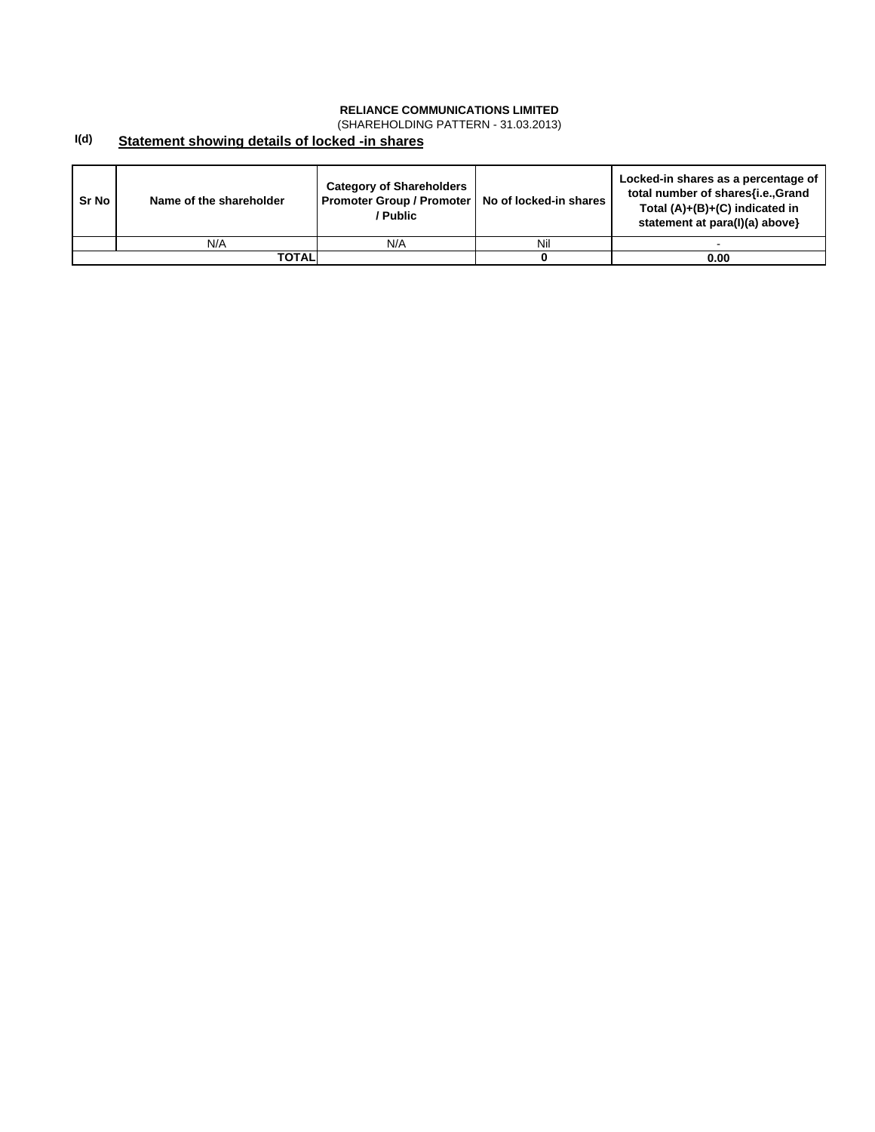(SHAREHOLDING PATTERN - 31.03.2013)

#### **I(d) Statement showing details of locked -in shares**

| Sr No | Name of the shareholder | <b>Category of Shareholders</b><br>Promoter Group / Promoter   No of locked-in shares<br>/ Public |     | Locked-in shares as a percentage of<br>total number of shares{i.e.,Grand<br>Total $(A)+(B)+(C)$ indicated in<br>statement at para(I)(a) above} |
|-------|-------------------------|---------------------------------------------------------------------------------------------------|-----|------------------------------------------------------------------------------------------------------------------------------------------------|
|       | N/A                     | N/A                                                                                               | Nil |                                                                                                                                                |
|       | TOTALI                  |                                                                                                   |     | 0.00                                                                                                                                           |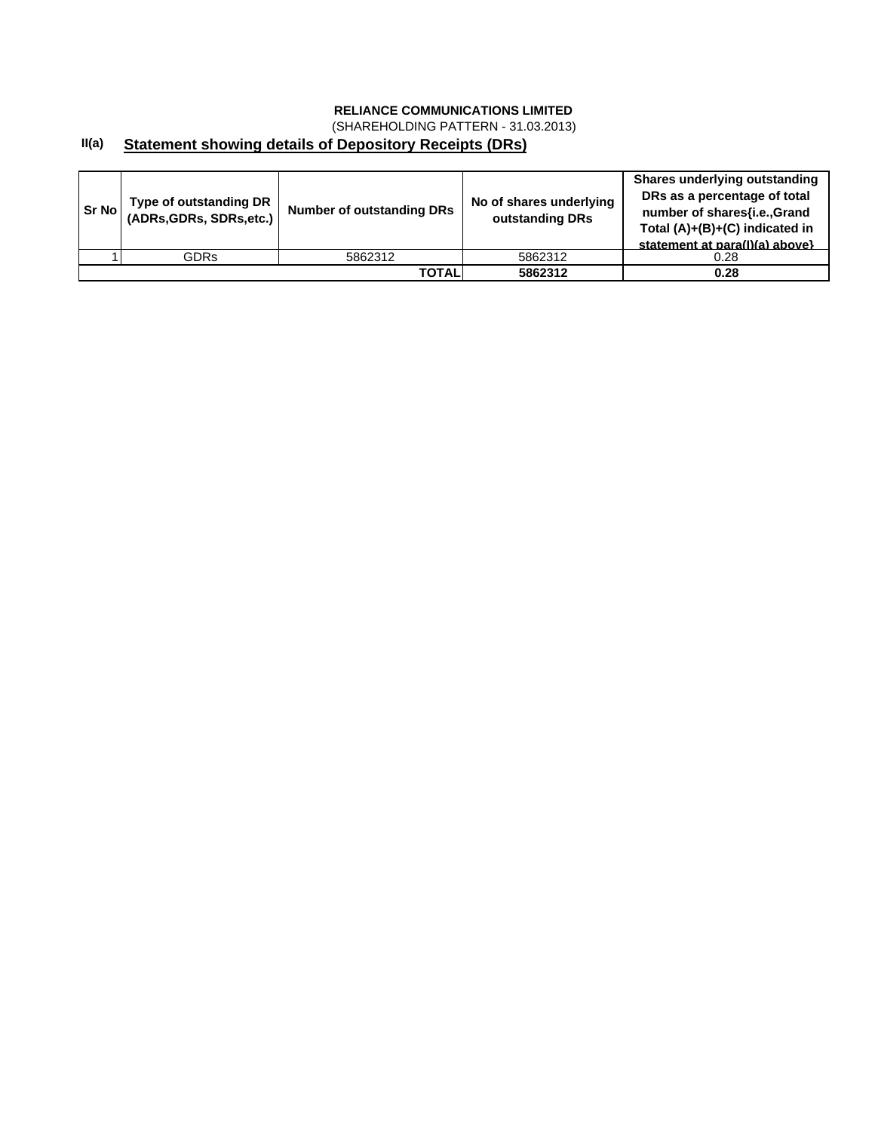(SHAREHOLDING PATTERN - 31.03.2013)

#### **II(a) Statement showing details of Depository Receipts (DRs)**

| Sr Nol | Type of outstanding DR<br>(ADRs, GDRs, SDRs, etc.) | <b>Number of outstanding DRs</b> | No of shares underlying<br>outstanding DRs | <b>Shares underlying outstanding</b><br>DRs as a percentage of total<br>number of shares{i.e., Grand<br>Total (A)+(B)+(C) indicated in<br>statement at para(I)(a) above} |
|--------|----------------------------------------------------|----------------------------------|--------------------------------------------|--------------------------------------------------------------------------------------------------------------------------------------------------------------------------|
|        | <b>GDRs</b>                                        | 5862312                          | 5862312                                    | 0.28                                                                                                                                                                     |
|        |                                                    | <b>TOTAL</b>                     | 5862312                                    | 0.28                                                                                                                                                                     |